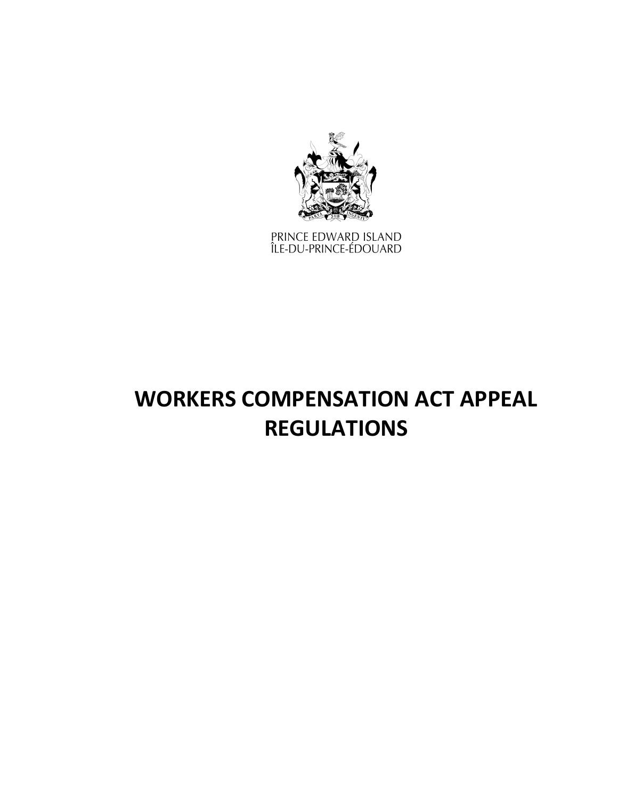

PRINCE EDWARD ISLAND<br>ÎLE-DU-PRINCE-ÉDOUARD

# **WORKERS COMPENSATION ACT APPEAL REGULATIONS**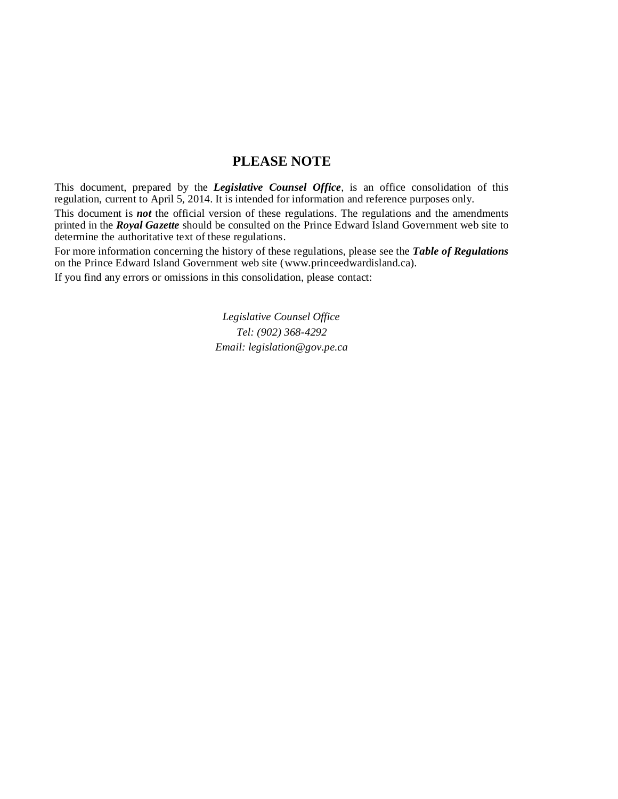### **PLEASE NOTE**

This document, prepared by the *[Legislative](http://www.gov.pe.ca/jps/index.php3?number=1027247) Counsel Office*, is an office consolidation of this regulation, current to April 5, 2014. It is intended for information and reference purposes only.

This document is *not* the official version of these regulations. The regulations and the amendments printed in the *Royal Gazette* should be consulted on the Prince Edward Island Government web site to determine the authoritative text of these regulations.

For more information concerning the history of these regulations, please see the *[Table of Regulations](https://www.princeedwardisland.ca/sites/default/files/publications/leg_table_acts.pdf)* on the Prince Edward Island Government web site (www.princeedwardisland.ca).

If you find any errors or omissions in this consolidation, please contact:

*Legislative Counsel Office Tel: (902) 368-4292 Email: legislation@gov.pe.ca*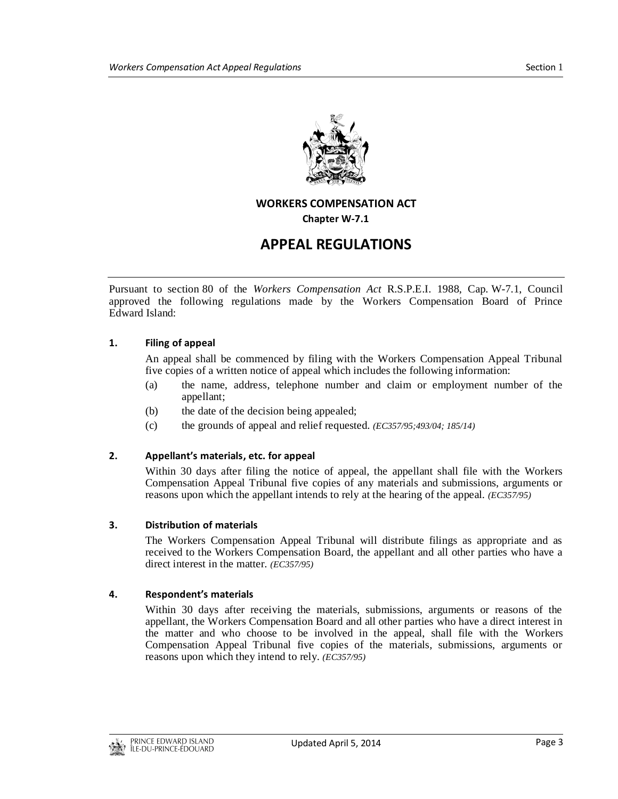

#### **WORKERS COMPENSATION ACT**

**Chapter W-7.1**

## **APPEAL REGULATIONS**

Pursuant to section 80 of the *Workers Compensation Act* R.S.P.E.I. 1988, Cap. W-7.1, Council approved the following regulations made by the Workers Compensation Board of Prince Edward Island:

#### **1. Filing of appeal**

An appeal shall be commenced by filing with the Workers Compensation Appeal Tribunal five copies of a written notice of appeal which includes the following information:

- (a) the name, address, telephone number and claim or employment number of the appellant;
- (b) the date of the decision being appealed;
- (c) the grounds of appeal and relief requested. *(EC357/95;493/04; 185/14)*

#### **2. Appellant's materials, etc. for appeal**

Within 30 days after filing the notice of appeal, the appellant shall file with the Workers Compensation Appeal Tribunal five copies of any materials and submissions, arguments or reasons upon which the appellant intends to rely at the hearing of the appeal. *(EC357/95)*

#### **3. Distribution of materials**

The Workers Compensation Appeal Tribunal will distribute filings as appropriate and as received to the Workers Compensation Board, the appellant and all other parties who have a direct interest in the matter. *(EC357/95)*

#### **4. Respondent's materials**

Within 30 days after receiving the materials, submissions, arguments or reasons of the appellant, the Workers Compensation Board and all other parties who have a direct interest in the matter and who choose to be involved in the appeal, shall file with the Workers Compensation Appeal Tribunal five copies of the materials, submissions, arguments or reasons upon which they intend to rely. *(EC357/95)*